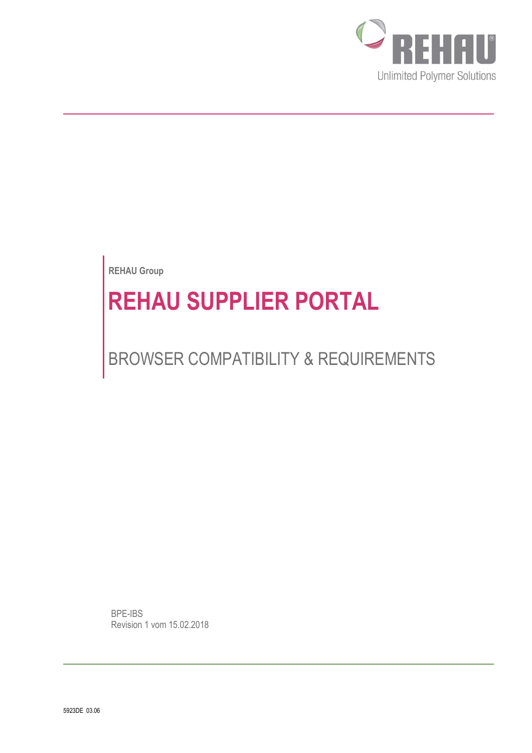

**REHAU Group**

# **REHAU SUPPLIER PORTAL**

# BROWSER COMPATIBILITY & REQUIREMENTS

BPE-IBS Revision 1 vom 15.02.2018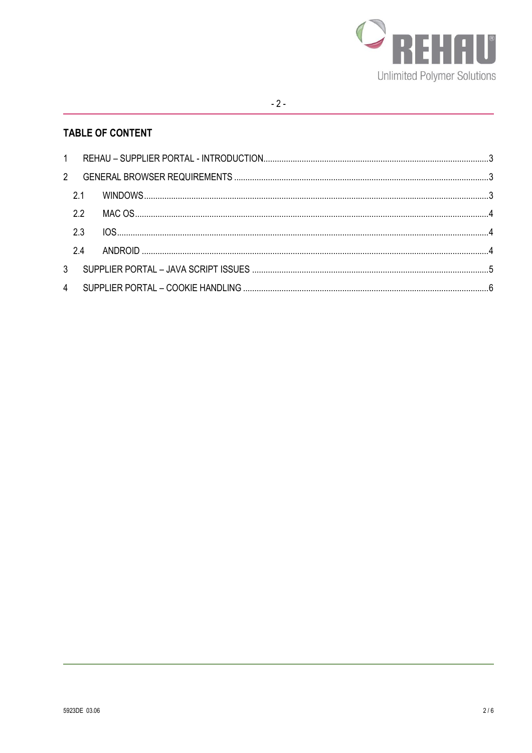

# **TABLE OF CONTENT**

| 2.2 |  |  |
|-----|--|--|
| 2.3 |  |  |
|     |  |  |
|     |  |  |
|     |  |  |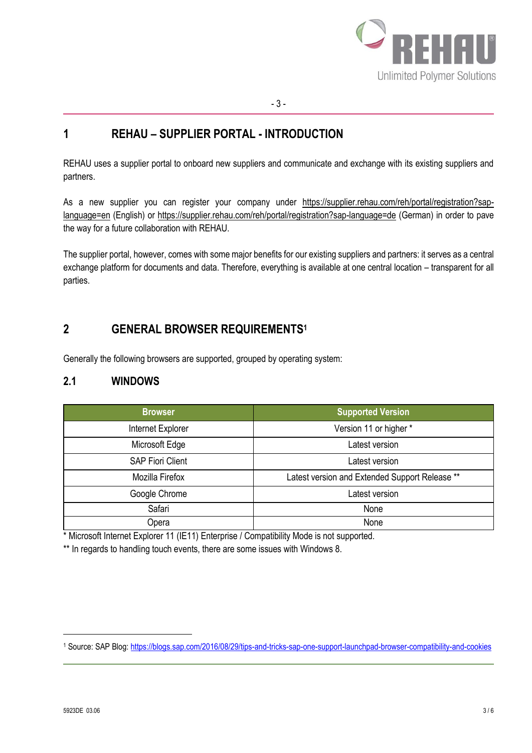

### <span id="page-2-0"></span>**1 REHAU – SUPPLIER PORTAL - INTRODUCTION**

REHAU uses a supplier portal to onboard new suppliers and communicate and exchange with its existing suppliers and partners.

As a new supplier you can register your company under [https://supplier.rehau.com/reh/portal/registration?sap](https://supplier.rehau.com/reh/portal/registration?sap-language=en)[language=en](https://supplier.rehau.com/reh/portal/registration?sap-language=en) (English) or<https://supplier.rehau.com/reh/portal/registration?sap-language=de> (German) in order to pave the way for a future collaboration with REHAU.

The supplier portal, however, comes with some major benefits for our existing suppliers and partners: it serves as a central exchange platform for documents and data. Therefore, everything is available at one central location – transparent for all parties.

# <span id="page-2-1"></span>**2 GENERAL BROWSER REQUIREMENTS<sup>1</sup>**

Generally the following browsers are supported, grouped by operating system:

#### <span id="page-2-2"></span>**2.1 WINDOWS**

| <b>Browser</b>          | <b>Supported Version</b>                       |
|-------------------------|------------------------------------------------|
| Internet Explorer       | Version 11 or higher *                         |
| Microsoft Edge          | Latest version                                 |
| <b>SAP Fiori Client</b> | Latest version                                 |
| Mozilla Firefox         | Latest version and Extended Support Release ** |
| Google Chrome           | Latest version                                 |
| Safari                  | None                                           |
| Opera                   | None                                           |

\* Microsoft Internet Explorer 11 (IE11) Enterprise / Compatibility Mode is not supported.

\*\* In regards to handling touch events, there are some issues with Windows 8.

l

<sup>1</sup> Source: SAP Blog:<https://blogs.sap.com/2016/08/29/tips-and-tricks-sap-one-support-launchpad-browser-compatibility-and-cookies>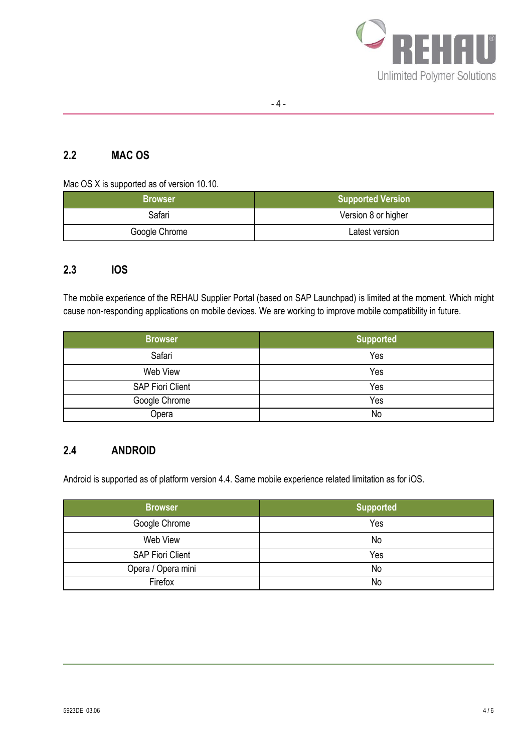

# <span id="page-3-0"></span>**2.2 MAC OS**

Mac OS X is supported as of version 10.10.

| <b>Browser</b> | <b>Supported Version</b> |
|----------------|--------------------------|
| Safari         | Version 8 or higher      |
| Google Chrome  | Latest version           |

#### <span id="page-3-1"></span>**2.3 IOS**

The mobile experience of the REHAU Supplier Portal (based on SAP Launchpad) is limited at the moment. Which might cause non-responding applications on mobile devices. We are working to improve mobile compatibility in future.

| <b>Browser</b>          | <b>Supported</b> |
|-------------------------|------------------|
| Safari                  | Yes              |
| Web View                | Yes              |
| <b>SAP Fiori Client</b> | Yes              |
| Google Chrome           | Yes              |
| Opera                   | No               |

#### <span id="page-3-2"></span>**2.4 ANDROID**

Android is supported as of platform version 4.4. Same mobile experience related limitation as for iOS.

| <b>Browser</b>          | <b>Supported</b> |
|-------------------------|------------------|
| Google Chrome           | Yes              |
| Web View                | No               |
| <b>SAP Fiori Client</b> | Yes              |
| Opera / Opera mini      | No               |
| Firefox                 | No               |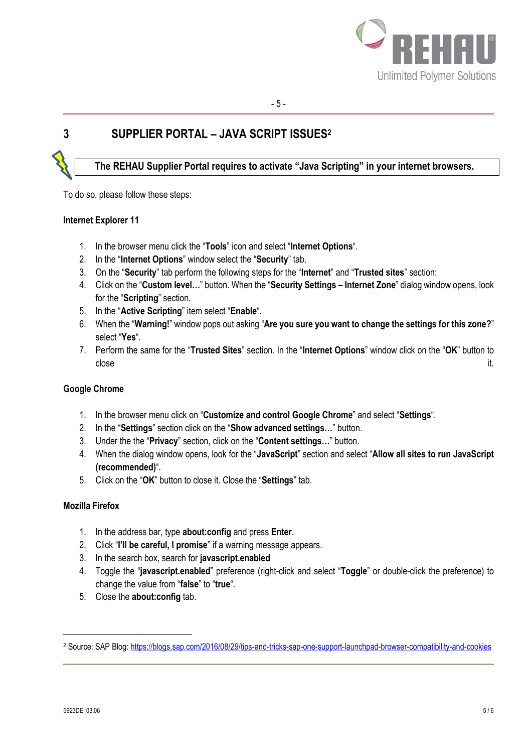

# <span id="page-4-0"></span>**3 SUPPLIER PORTAL – JAVA SCRIPT ISSUES<sup>2</sup>**

# **The REHAU Supplier Portal requires to activate "Java Scripting" in your internet browsers.**

To do so, please follow these steps:

#### **Internet Explorer 11**

- 1. In the browser menu click the "**Tools**" icon and select "**Internet Options**".
- 2. In the "**Internet Options**" window select the "**Security**" tab.
- 3. On the "**Security**" tab perform the following steps for the "**Internet**" and "**Trusted sites**" section:
- 4. Click on the "**Custom level…**" button. When the "**Security Settings – Internet Zone**" dialog window opens, look for the "**Scripting**" section.
- 5. In the "**Active Scripting**" item select "**Enable**".
- 6. When the "**Warning!**" window pops out asking "**Are you sure you want to change the settings for this zone?**" select "**Yes**".
- 7. Perform the same for the "**Trusted Sites**" section. In the "**Internet Options**" window click on the "**OK**" button to close the contract of the contract of the contract of the contract of the contract of the contract of the contract of the contract of the contract of the contract of the contract of the contract of the contract of the cont

#### **Google Chrome**

- 1. In the browser menu click on "**Customize and control Google Chrome**" and select "**Settings**".
- 2. In the "**Settings**" section click on the "**Show advanced settings…**" button.
- 3. Under the the "**Privacy**" section, click on the "**Content settings…**" button.
- 4. When the dialog window opens, look for the "**JavaScript**" section and select "**Allow all sites to run JavaScript (recommended)**".
- 5. Click on the "**OK**" button to close it. Close the "**Settings**" tab.

#### **Mozilla Firefox**

- 1. In the address bar, type **about:config** and press **Enter**.
- 2. Click "**I'll be careful, I promise**" if a warning message appears.
- 3. In the search box, search for **javascript.enabled**
- 4. Toggle the "**javascript.enabled**" preference (right-click and select "**Toggle**" or double-click the preference) to change the value from "**false**" to "**true**".
- 5. Close the **about:config** tab.

l

<sup>2</sup> Source: SAP Blog:<https://blogs.sap.com/2016/08/29/tips-and-tricks-sap-one-support-launchpad-browser-compatibility-and-cookies>